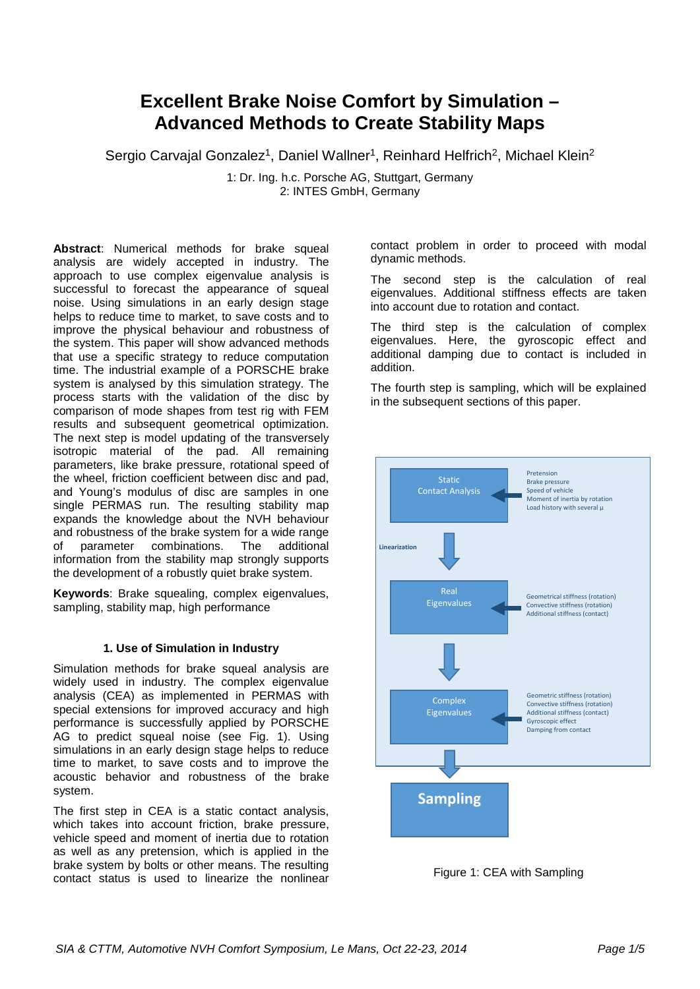# **Excellent Brake Noise Comfort by Simulation – Advanced Methods to Create Stability Maps**

Sergio Carvajal Gonzalez<sup>1</sup>, Daniel Wallner<sup>1</sup>, Reinhard Helfrich<sup>2</sup>, Michael Klein<sup>2</sup>

1: Dr. Ing. h.c. Porsche AG, Stuttgart, Germany 2: INTES GmbH, Germany

**Abstract**: Numerical methods for brake squeal analysis are widely accepted in industry. The approach to use complex eigenvalue analysis is successful to forecast the appearance of squeal noise. Using simulations in an early design stage helps to reduce time to market, to save costs and to improve the physical behaviour and robustness of the system. This paper will show advanced methods that use a specific strategy to reduce computation time. The industrial example of a PORSCHE brake system is analysed by this simulation strategy. The process starts with the validation of the disc by comparison of mode shapes from test rig with FEM results and subsequent geometrical optimization. The next step is model updating of the transversely isotropic material of the pad. All remaining parameters, like brake pressure, rotational speed of the wheel, friction coefficient between disc and pad, and Young's modulus of disc are samples in one single PERMAS run. The resulting stability map expands the knowledge about the NVH behaviour and robustness of the brake system for a wide range of parameter combinations. The additional information from the stability map strongly supports the development of a robustly quiet brake system.

**Keywords**: Brake squealing, complex eigenvalues, sampling, stability map, high performance

# **1. Use of Simulation in Industry**

Simulation methods for brake squeal analysis are widely used in industry. The complex eigenvalue analysis (CEA) as implemented in PERMAS with special extensions for improved accuracy and high performance is successfully applied by PORSCHE AG to predict squeal noise (see Fig. 1). Using simulations in an early design stage helps to reduce time to market, to save costs and to improve the acoustic behavior and robustness of the brake system.

The first step in CEA is a static contact analysis, which takes into account friction, brake pressure, vehicle speed and moment of inertia due to rotation as well as any pretension, which is applied in the brake system by bolts or other means. The resulting contact status is used to linearize the nonlinear contact problem in order to proceed with modal dynamic methods.

The second step is the calculation of real eigenvalues. Additional stiffness effects are taken into account due to rotation and contact.

The third step is the calculation of complex eigenvalues. Here, the gyroscopic effect and additional damping due to contact is included in addition.

The fourth step is sampling, which will be explained in the subsequent sections of this paper.



Figure 1: CEA with Sampling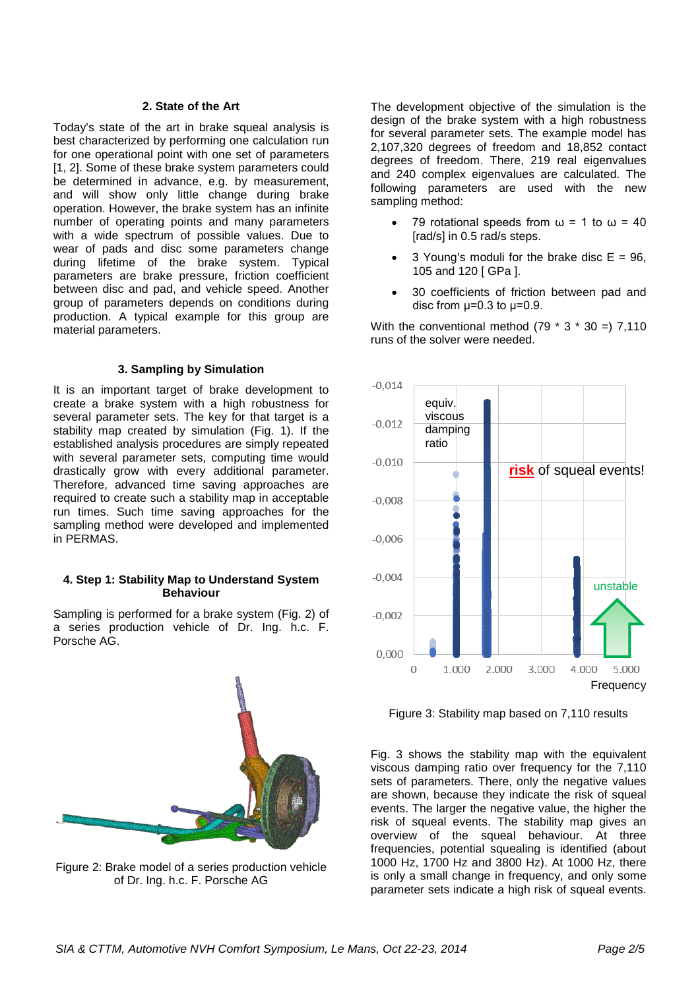#### **2. State of the Art**

Today's state of the art in brake squeal analysis is best characterized by performing one calculation run for one operational point with one set of parameters [1, 2]. Some of these brake system parameters could be determined in advance, e.g. by measurement, and will show only little change during brake operation. However, the brake system has an infinite number of operating points and many parameters with a wide spectrum of possible values. Due to wear of pads and disc some parameters change during lifetime of the brake system. Typical parameters are brake pressure, friction coefficient between disc and pad, and vehicle speed. Another group of parameters depends on conditions during production. A typical example for this group are material parameters.

#### **3. Sampling by Simulation**

It is an important target of brake development to create a brake system with a high robustness for several parameter sets. The key for that target is a stability map created by simulation (Fig. 1). If the established analysis procedures are simply repeated with several parameter sets, computing time would drastically grow with every additional parameter. Therefore, advanced time saving approaches are required to create such a stability map in acceptable run times. Such time saving approaches for the sampling method were developed and implemented in PERMAS.

#### **4. Step 1: Stability Map to Understand System Behaviour**

Sampling is performed for a brake system (Fig. 2) of a series production vehicle of Dr. Ing. h.c. F. Porsche AG.



Figure 2: Brake model of a series production vehicle of Dr. Ing. h.c. F. Porsche AG

The development objective of the simulation is the design of the brake system with a high robustness for several parameter sets. The example model has 2,107,320 degrees of freedom and 18,852 contact degrees of freedom. There, 219 real eigenvalues and 240 complex eigenvalues are calculated. The following parameters are used with the new sampling method:

- 79 rotational speeds from  $\omega$  = 1 to  $\omega$  = 40 [rad/s] in 0.5 rad/s steps.
- 3 Young's moduli for the brake disc  $E = 96$ , 105 and 120 [ GPa ].
- 30 coefficients of friction between pad and disc from  $\mu$ =0.3 to  $\mu$ =0.9.

With the conventional method  $(79 * 3 * 30 = 7,110)$ runs of the solver were needed.



Figure 3: Stability map based on 7,110 results

Fig. 3 shows the stability map with the equivalent viscous damping ratio over frequency for the 7,110 sets of parameters. There, only the negative values are shown, because they indicate the risk of squeal events. The larger the negative value, the higher the risk of squeal events. The stability map gives an overview of the squeal behaviour. At three frequencies, potential squealing is identified (about 1000 Hz, 1700 Hz and 3800 Hz). At 1000 Hz, there is only a small change in frequency, and only some parameter sets indicate a high risk of squeal events.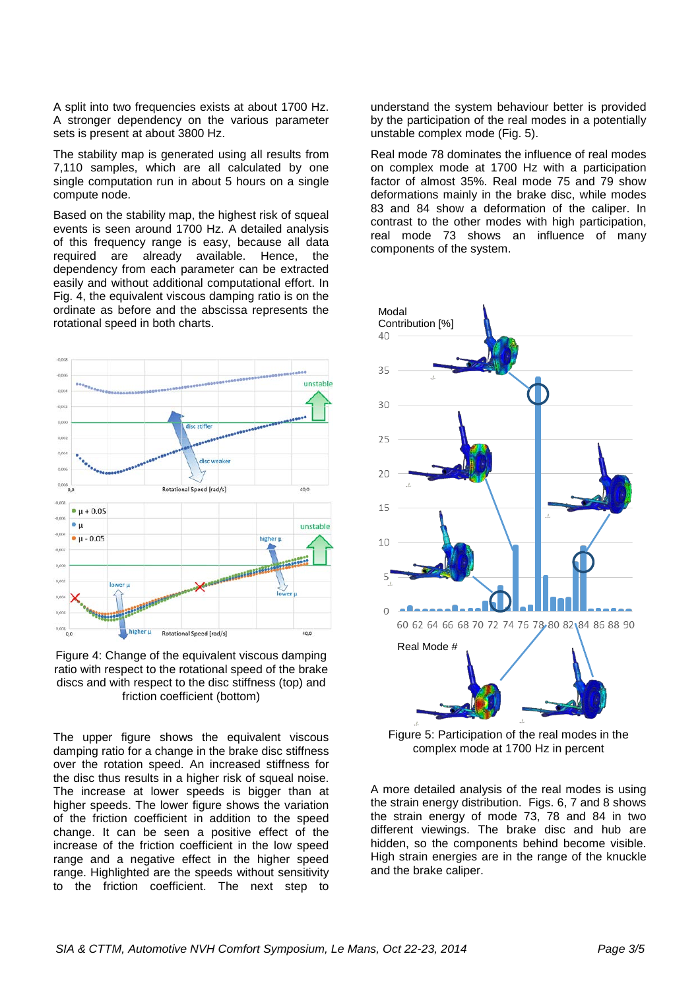A split into two frequencies exists at about 1700 Hz. A stronger dependency on the various parameter sets is present at about 3800 Hz.

The stability map is generated using all results from 7,110 samples, which are all calculated by one single computation run in about 5 hours on a single compute node.

Based on the stability map, the highest risk of squeal events is seen around 1700 Hz. A detailed analysis of this frequency range is easy, because all data required are already available. Hence, the dependency from each parameter can be extracted easily and without additional computational effort. In Fig. 4, the equivalent viscous damping ratio is on the ordinate as before and the abscissa represents the rotational speed in both charts.



Figure 4: Change of the equivalent viscous damping ratio with respect to the rotational speed of the brake discs and with respect to the disc stiffness (top) and friction coefficient (bottom)

The upper figure shows the equivalent viscous damping ratio for a change in the brake disc stiffness over the rotation speed. An increased stiffness for the disc thus results in a higher risk of squeal noise. The increase at lower speeds is bigger than at higher speeds. The lower figure shows the variation of the friction coefficient in addition to the speed change. It can be seen a positive effect of the increase of the friction coefficient in the low speed range and a negative effect in the higher speed range. Highlighted are the speeds without sensitivity to the friction coefficient. The next step to

understand the system behaviour better is provided by the participation of the real modes in a potentially unstable complex mode (Fig. 5).

Real mode 78 dominates the influence of real modes on complex mode at 1700 Hz with a participation factor of almost 35%. Real mode 75 and 79 show deformations mainly in the brake disc, while modes 83 and 84 show a deformation of the caliper. In contrast to the other modes with high participation, real mode 73 shows an influence of many components of the system.



Figure 5: Participation of the real modes in the complex mode at 1700 Hz in percent

A more detailed analysis of the real modes is using the strain energy distribution. Figs. 6, 7 and 8 shows the strain energy of mode 73, 78 and 84 in two different viewings. The brake disc and hub are hidden, so the components behind become visible. High strain energies are in the range of the knuckle and the brake caliper.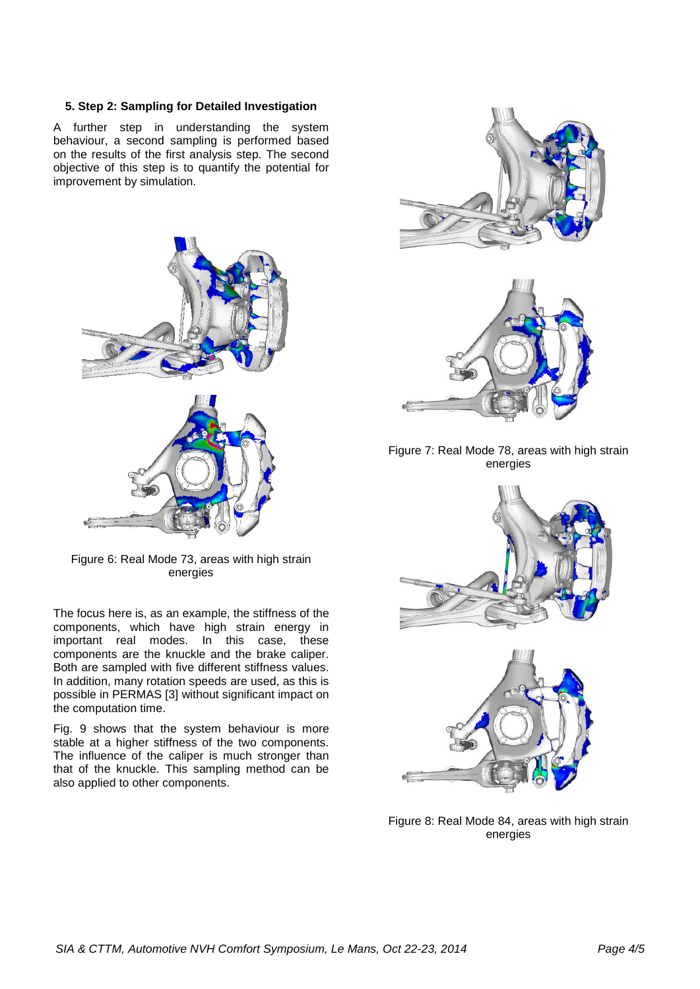## **5. Step 2: Sampling for Detailed Investigation**

A further step in understanding the system behaviour, a second sampling is performed based on the results of the first analysis step. The second objective of this step is to quantify the potential for improvement by simulation.



Figure 6: Real Mode 73, areas with high strain energies

The focus here is, as an example, the stiffness of the components, which have high strain energy in important real modes. In this case, these components are the knuckle and the brake caliper. Both are sampled with five different stiffness values. In addition, many rotation speeds are used, as this is possible in PERMAS [3] without significant impact on the computation time.

Fig. 9 shows that the system behaviour is more stable at a higher stiffness of the two components. The influence of the caliper is much stronger than that of the knuckle. This sampling method can be also applied to other components.



Figure 7: Real Mode 78, areas with high strain energies



Figure 8: Real Mode 84, areas with high strain energies